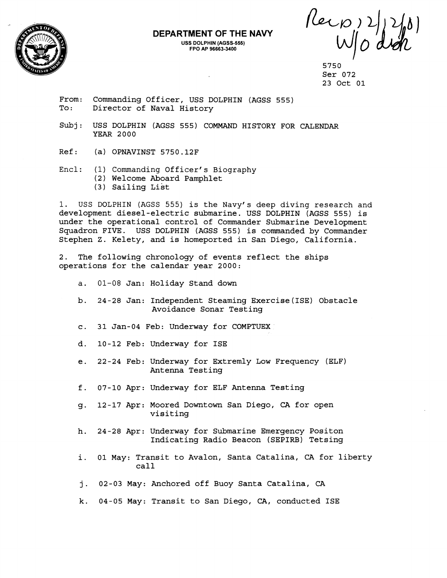

## **DEPARTMENT OF THE NAVY USS DOLPHIN (AGSS-555)**

**FPO AP 96663-3400** 

 $\n *Revo* 2\n *W* 0$ 

5750 Ser 072 23 Oct 01

From: Commanding Officer, USS DOLPHIN (AGSS 555) To: Director of Naval History

- Subj: USS DOLPHIN (AGSS 555) COMMAND HISTORY FOR CALENDAR YEAR 2000
- Ref: (a) OPNAVINST 5750.12F
- Encl: (1) Commanding Officer's Biography (2) Welcome Aboard Pamphlet  $(3)$  Sailing List
- 1. USS DOLPHIN (AGSS 555) is the Navy's deep diving research and development diesel-electric submarine. USS DOLPHIN (AGSS 555) is under the operational control of Commander Submarine Development Squadron FIVE. USS DOLPHIN (AGSS 555) is commanded by Commander Stephen Z. Kelety, and is homeported in San Diego, California.

2. The following chronology of events reflect the ships operations for the calendar year 2000:

- a. 01-08 Jan: Holiday Stand down
- b. 24-28 Jan: Independent Steaming Exercise(1SE) Obstacle Avoidance Sonar Testing
- c. 31 Jan-04 Feb: Underway for COMPTUEX
- d. 10-12 Feb: Underway for ISE
- e. 22-24 Feb: Underway for Extremly Low Frequency (ELF) Antenna Testing
- f. 07-10 Apr: Underway for ELF Antenna Testing
- g. 12-17 Apr: Moored Downtown San Diego, **CA** for open visiting
- h. 24-28 Apr: Underway for Submarine Emergency Positon Indicating Radio Beacon (SEPIRB) Tetsing
- i. 01 May: Transit to Avalon, Santa Catalina, CA for liberty call
- **j.** 02-03 May: Anchored off Buoy Santa Catalina, CA
- k. 04-05 May: Transit to San Diego, CA, conducted ISE